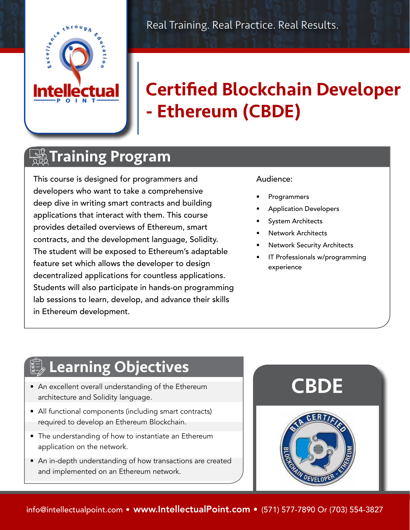

# Certified Blockchain Developer - Ethereum (CBDE)

### **The Training Program**

This course is designed for programmers and developers who want to take a comprehensive deep dive in writing smart contracts and building applications that interact with them. This course provides detailed overviews of Ethereum, smart contracts, and the development language, Solidity. The student will be exposed to Ethereum's adaptable feature set which allows the developer to design decentralized applications for countless applications. Students will also participate in hands-on programming lab sessions to learn, develop, and advance their skills in Ethereum development.

#### Audience:

- **Programmers**
- Application Developers
- System Architects
- Network Architects
- Network Security Architects
- IT Professionals w/programming experience

## **Learning Objectives**

- An excellent overall understanding of the Ethereum architecture and Solidity language.
- All functional components (including smart contracts) required to develop an Ethereum Blockchain.
- The understanding of how to instantiate an Ethereum application on the network.
- An in-depth understanding of how transactions are created and implemented on an Ethereum network.